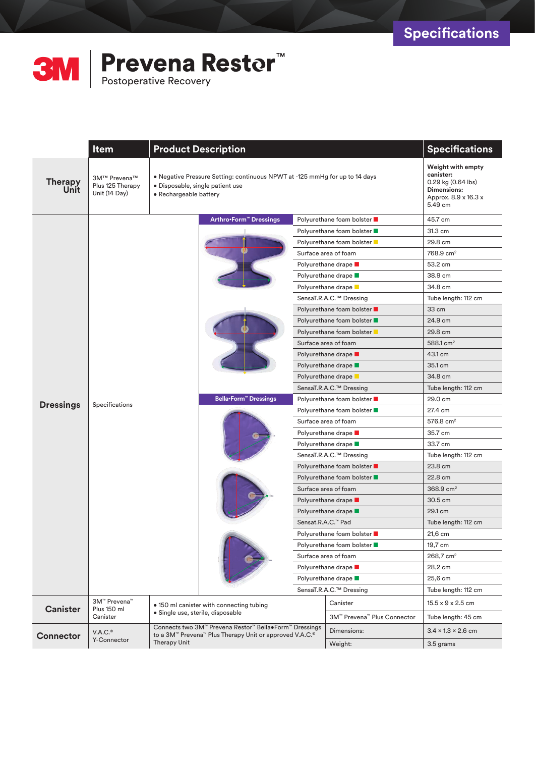

|                        | <b>Item</b>                                       | <b>Product Description</b>                                                                                                                | <b>Specifications</b>                                                                                      |                             |                                |
|------------------------|---------------------------------------------------|-------------------------------------------------------------------------------------------------------------------------------------------|------------------------------------------------------------------------------------------------------------|-----------------------------|--------------------------------|
| <b>Therapy</b><br>Unit | 3M™ Prevena™<br>Plus 125 Therapy<br>Unit (14 Day) | • Negative Pressure Setting: continuous NPWT at -125 mmHg for up to 14 days<br>· Disposable, single patient use<br>• Rechargeable battery | Weight with empty<br>canister:<br>$0.29$ kg $(0.64$ lbs)<br>Dimensions:<br>Approx. 8.9 x 16.3 x<br>5.49 cm |                             |                                |
|                        |                                                   | Arthro-Form <sup>™</sup> Dressings                                                                                                        | Polyurethane foam bolster ■                                                                                |                             | 45.7 cm                        |
|                        |                                                   |                                                                                                                                           |                                                                                                            | Polyurethane foam bolster ■ | 31.3 cm                        |
|                        |                                                   |                                                                                                                                           |                                                                                                            | Polyurethane foam bolster   | 29.8 cm                        |
|                        |                                                   |                                                                                                                                           |                                                                                                            | Surface area of foam        | 768.9 cm <sup>2</sup>          |
|                        |                                                   |                                                                                                                                           | Polyurethane drape ■                                                                                       |                             | 53.2 cm                        |
|                        |                                                   |                                                                                                                                           | Polyurethane drape                                                                                         |                             | 38.9 cm                        |
|                        |                                                   |                                                                                                                                           | Polyurethane drape                                                                                         |                             | 34.8 cm                        |
|                        |                                                   |                                                                                                                                           | SensaT.R.A.C.™ Dressing                                                                                    |                             | Tube length: 112 cm            |
|                        |                                                   |                                                                                                                                           |                                                                                                            | Polyurethane foam bolster ■ | 33 cm                          |
|                        |                                                   |                                                                                                                                           |                                                                                                            | Polyurethane foam bolster   | 24.9 cm                        |
|                        |                                                   |                                                                                                                                           | Polyurethane foam bolster                                                                                  |                             | 29.8 cm                        |
|                        |                                                   |                                                                                                                                           | Surface area of foam                                                                                       |                             | 588.1 $cm2$                    |
|                        |                                                   |                                                                                                                                           | Polyurethane drape <b>D</b>                                                                                |                             | 43.1 cm                        |
|                        |                                                   |                                                                                                                                           | Polyurethane drape <b>D</b>                                                                                |                             | 35.1 cm                        |
|                        |                                                   |                                                                                                                                           | Polyurethane drape <b>D</b>                                                                                |                             | 34.8 cm                        |
|                        |                                                   |                                                                                                                                           | SensaT.R.A.C.™ Dressing                                                                                    |                             | Tube length: 112 cm            |
| <b>Dressings</b>       | Specifications                                    | Bella•Form™ Dressings                                                                                                                     | Polyurethane foam bolster ■                                                                                |                             | 29.0 cm                        |
|                        |                                                   |                                                                                                                                           | Polyurethane foam bolster ■                                                                                |                             | 27.4 cm                        |
|                        |                                                   |                                                                                                                                           |                                                                                                            | Surface area of foam        | 576.8 $cm2$                    |
|                        |                                                   |                                                                                                                                           |                                                                                                            | Polyurethane drape ■        | 35.7 cm                        |
|                        |                                                   |                                                                                                                                           |                                                                                                            | Polyurethane drape ■        | 33.7 cm                        |
|                        |                                                   |                                                                                                                                           |                                                                                                            | SensaT.R.A.C.™ Dressing     | Tube length: 112 cm            |
|                        |                                                   |                                                                                                                                           |                                                                                                            | Polyurethane foam bolster ■ | 23.8 cm                        |
|                        |                                                   |                                                                                                                                           |                                                                                                            | Polyurethane foam bolster ■ | 22.8 cm                        |
|                        |                                                   |                                                                                                                                           |                                                                                                            | Surface area of foam        | 368.9 cm <sup>2</sup>          |
|                        |                                                   |                                                                                                                                           |                                                                                                            | Polyurethane drape <b>D</b> | 30.5 cm                        |
|                        |                                                   |                                                                                                                                           |                                                                                                            | Polyurethane drape <b>D</b> | 29.1 cm                        |
|                        |                                                   |                                                                                                                                           |                                                                                                            | Sensat.R.A.C.™ Pad          | Tube length: 112 cm            |
|                        |                                                   |                                                                                                                                           | Polyurethane foam bolster ■                                                                                |                             | 21,6 cm                        |
|                        |                                                   |                                                                                                                                           | Polyurethane foam bolster ■                                                                                |                             | 19,7 cm                        |
|                        |                                                   |                                                                                                                                           |                                                                                                            | Surface area of foam        | 268.7 cm <sup>2</sup>          |
|                        |                                                   |                                                                                                                                           |                                                                                                            | Polyurethane drape ■        | 28,2 cm                        |
|                        |                                                   |                                                                                                                                           |                                                                                                            | Polyurethane drape ■        | 25,6 cm                        |
|                        |                                                   |                                                                                                                                           |                                                                                                            | SensaT.R.A.C.™ Dressing     | Tube length: 112 cm            |
| <b>Canister</b>        | 3M™ Prevena™<br>Plus 150 ml<br>Canister           | • 150 ml canister with connecting tubing<br>· Single use, sterile, disposable                                                             |                                                                                                            | Canister                    | 15.5 x 9 x 2.5 cm              |
|                        |                                                   |                                                                                                                                           |                                                                                                            | 3M™ Prevena™ Plus Connector | Tube length: 45 cm             |
| <b>Connector</b>       | V.A.C.®<br>Y-Connector                            | Connects two 3M™ Prevena Restor™ Bella•Form™ Dressings<br>to a 3M™ Prevena™ Plus Therapy Unit or approved V.A.C.®<br><b>Therapy Unit</b>  |                                                                                                            | Dimensions:                 | $3.4 \times 1.3 \times 2.6$ cm |
|                        |                                                   |                                                                                                                                           |                                                                                                            | Weight:                     | 3.5 grams                      |